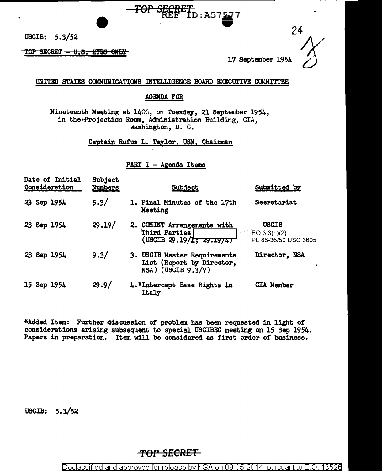USCIB: 5.3/52

#### TOP SECRET - U.S. EYES ONLY

24

17 September 1954

#### UNITED STATES COMMUNICATIONS INTELLIGENCE BOARD EXECUTIVE COMMITTEE

<del>TOP SECRET I</del>D: A57<u>57</u>7

## **AGENDA FOR**

Nineteenth Meeting at 1400, on Tuesday, 21 September 1954, in the\*Projection Room, Administration Building, CIA, Washington, D. C.

Captain Rufus L. Taylor, USN, Chairman

PART I - Agenda Items

| Date of Initial<br>Consideration | Subject<br>Numbers | <b>Subject</b>                                                                    | Submitted by                                           |
|----------------------------------|--------------------|-----------------------------------------------------------------------------------|--------------------------------------------------------|
| Sep 1954<br>23                   | 5.3/               | 1. Final Minutes of the 17th<br>Meeting                                           | Secretariat                                            |
| 23 Sep 1954                      | 29.19/             | 2. COMINT Arrangements with<br>Third Parties<br>(USCIB 29.19/1; 29.1974)          | <b>USCIB</b><br>$EO$ 3.3(h)(2)<br>PL 86-36/50 USC 3605 |
| 23 Sep 1954                      | 9.3/               | 3. USCIB Master Requirements<br>List (Report by Director,<br>$NSA)$ (USCIB 9.3/7) | Director, NSA                                          |
| 15 Sep 1954                      | 29.9/              | 4.*Intercept Base Rights in<br>Italy                                              | <b>CIA Member</b>                                      |

\*Added Item: Further discussion of problem has been requested in light of considerations arising subsequent to special USCIBEC meeting on 15 Sep 1954. Papers in preparation. Item will be considered as first order of business.

USCIB:  $5.3/52$ 

# <del>TOP SECRET\_</del>

Declassified and approved for release by NSA on 09-05-2014 pursuant to E.O. 13526